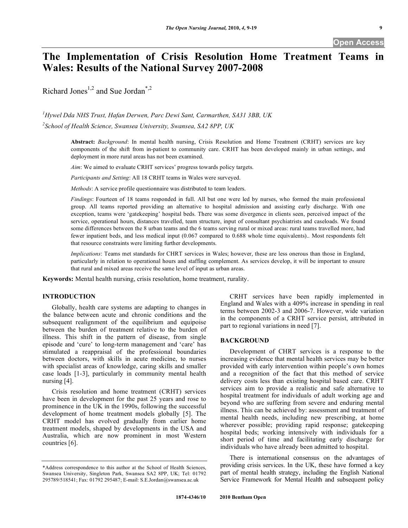# **The Implementation of Crisis Resolution Home Treatment Teams in Wales: Results of the National Survey 2007-2008**

Richard Jones<sup>1,2</sup> and Sue Jordan<sup>\*,2</sup>

*1 Hywel Dda NHS Trust, Hafan Derwen, Parc Dewi Sant, Carmarthen, SA31 3BB, UK 2 School of Health Science, Swansea University, Swansea, SA2 8PP, UK* 

> **Abstract:** *Background*: In mental health nursing, Crisis Resolution and Home Treatment (CRHT) services are key components of the shift from in-patient to community care. CRHT has been developed mainly in urban settings, and deployment in more rural areas has not been examined.

*Aim*: We aimed to evaluate CRHT services' progress towards policy targets.

*Participants and Setting*: All 18 CRHT teams in Wales were surveyed.

*Methods*: A service profile questionnaire was distributed to team leaders.

*Findings*: Fourteen of 18 teams responded in full. All but one were led by nurses, who formed the main professional group. All teams reported providing an alternative to hospital admission and assisting early discharge. With one exception, teams were 'gatekeeping' hospital beds. There was some divergence in clients seen, perceived impact of the service, operational hours, distances travelled, team structure, input of consultant psychiatrists and caseloads. We found some differences between the 8 urban teams and the 6 teams serving rural or mixed areas: rural teams travelled more, had fewer inpatient beds, and less medical input (0.067 compared to 0.688 whole time equivalents).. Most respondents felt that resource constraints were limiting further developments.

*Implications*: Teams met standards for CHRT services in Wales; however, these are less onerous than those in England, particularly in relation to operational hours and staffing complement. As services develop, it will be important to ensure that rural and mixed areas receive the same level of input as urban areas.

**Keywords:** Mental health nursing, crisis resolution, home treatment, rurality.

# **INTRODUCTION**

 Globally, health care systems are adapting to changes in the balance between acute and chronic conditions and the subsequent realignment of the equilibrium and equipoise between the burden of treatment relative to the burden of illness. This shift in the pattern of disease, from single episode and 'cure' to long-term management and 'care' has stimulated a reappraisal of the professional boundaries between doctors, with skills in acute medicine, to nurses with specialist areas of knowledge, caring skills and smaller case loads [1-3], particularly in community mental health nursing [4].

 Crisis resolution and home treatment (CRHT) services have been in development for the past 25 years and rose to prominence in the UK in the 1990s, following the successful development of home treatment models globally [5]. The CRHT model has evolved gradually from earlier home treatment models, shaped by developments in the USA and Australia, which are now prominent in most Western countries [6].

 CRHT services have been rapidly implemented in England and Wales with a 409% increase in spending in real terms between 2002-3 and 2006-7. However, wide variation in the components of a CRHT service persist, attributed in part to regional variations in need [7].

# **BACKGROUND**

 Development of CHRT services is a response to the increasing evidence that mental health services may be better provided with early intervention within people's own homes and a recognition of the fact that this method of service delivery costs less than existing hospital based care. CRHT services aim to provide a realistic and safe alternative to hospital treatment for individuals of adult working age and beyond who are suffering from severe and enduring mental illness. This can be achieved by: assessment and treatment of mental health needs, including new prescribing, at home wherever possible; providing rapid response; gatekeeping hospital beds; working intensively with individuals for a short period of time and facilitating early discharge for individuals who have already been admitted to hospital.

 There is international consensus on the advantages of providing crisis services. In the UK, these have formed a key part of mental health strategy, including the English National Service Framework for Mental Health and subsequent policy

<sup>\*</sup>Address correspondence to this author at the School of Health Sciences, Swansea University, Singleton Park, Swansea SA2 8PP, UK; Tel: 01792 295789/518541; Fax: 01792 295487; E-mail: S.E.Jordan@swansea.ac.uk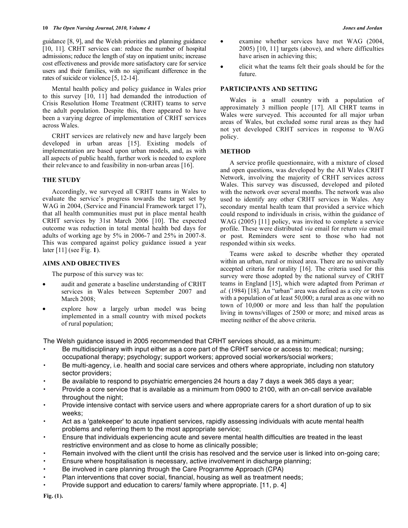#### **10** *The Open Nursing Journal, 2010, Volume 4 Jones and Jordan*

guidance [8, 9], and the Welsh priorities and planning guidance [10, 11]. CRHT services can: reduce the number of hospital admissions; reduce the length of stay on inpatient units; increase cost effectiveness and provide more satisfactory care for service users and their families, with no significant difference in the rates of suicide or violence [5, 12-14].

 Mental health policy and policy guidance in Wales prior to this survey [10, 11] had demanded the introduction of Crisis Resolution Home Treatment (CRHT) teams to serve the adult population. Despite this, there appeared to have been a varying degree of implementation of CRHT services across Wales.

 CRHT services are relatively new and have largely been developed in urban areas [15]. Existing models of implementation are based upon urban models, and, as with all aspects of public health, further work is needed to explore their relevance to and feasibility in non-urban areas [16].

# **THE STUDY**

 Accordingly, we surveyed all CRHT teams in Wales to evaluate the service's progress towards the target set by WAG in 2004, (Service and Financial Framework target 17), that all health communities must put in place mental health CRHT services by 31st March 2006 [10]. The expected outcome was reduction in total mental health bed days for adults of working age by 5% in 2006-7 and 25% in 2007-8. This was compared against policy guidance issued a year later [11] (see Fig. **1**).

# **AIMS AND OBJECTIVES**

The purpose of this survey was to:

- audit and generate a baseline understanding of CRHT services in Wales between September 2007 and March 2008;
- explore how a largely urban model was being implemented in a small country with mixed pockets of rural population;
- examine whether services have met WAG (2004, 2005) [10, 11] targets (above), and where difficulties have arisen in achieving this;
- elicit what the teams felt their goals should be for the future.

# **PARTICIPANTS AND SETTING**

 Wales is a small country with a population of approximately 3 million people [17]. All CHRT teams in Wales were surveyed. This accounted for all major urban areas of Wales, but excluded some rural areas as they had not yet developed CRHT services in response to WAG policy.

# **METHOD**

 A service profile questionnaire, with a mixture of closed and open questions, was developed by the All Wales CRHT Network, involving the majority of CRHT services across Wales. This survey was discussed, developed and piloted with the network over several months. The network was also used to identify any other CRHT services in Wales. Any secondary mental health team that provided a service which could respond to individuals in crisis, within the guidance of WAG (2005) [11] policy, was invited to complete a service profile. These were distributed *via* email for return *via* email or post. Reminders were sent to those who had not responded within six weeks.

 Teams were asked to describe whether they operated within an urban, rural or mixed area. There are no universally accepted criteria for rurality [16]. The criteria used for this survey were those adopted by the national survey of CRHT teams in England [15], which were adapted from Periman *et al.* (1984) [18]. An "urban" area was defined as a city or town with a population of at least 50,000; a rural area as one with no town of 10,000 or more and less than half the population living in towns/villages of 2500 or more; and mixed areas as meeting neither of the above criteria.

The Welsh guidance issued in 2005 recommended that CRHT services should, as a minimum:

- Be multidisciplinary with input either as a core part of the CRHT service or access to: medical; nursing; occupational therapy; psychology; support workers; approved social workers/social workers;
- Be multi-agency, i.e. health and social care services and others where appropriate, including non statutory sector providers;
- Be available to respond to psychiatric emergencies 24 hours a day 7 days a week 365 days a year;
- Provide a core service that is available as a minimum from 0900 to 2100, with an on-call service available throughout the night;
- Provide intensive contact with service users and where appropriate carers for a short duration of up to six weeks;
- Act as a 'gatekeeper' to acute inpatient services, rapidly assessing individuals with acute mental health problems and referring them to the most appropriate service;
- Ensure that individuals experiencing acute and severe mental health difficulties are treated in the least restrictive environment and as close to home as clinically possible;
- Remain involved with the client until the crisis has resolved and the service user is linked into on-going care;
- Ensure where hospitalisation is necessary, active involvement in discharge planning;
- Be involved in care planning through the Care Programme Approach (CPA)
- Plan interventions that cover social, financial, housing as well as treatment needs;
- Provide support and education to carers/ family where appropriate. [11, p. 4]

**Fig. (1).**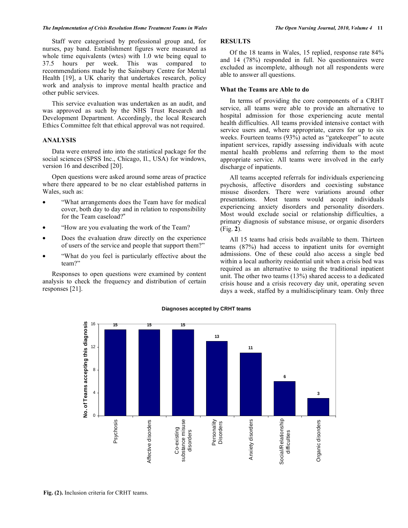#### *The Implementation of Crisis Resolution Home Treatment Teams in Wales The Open Nursing Journal, 2010, Volume 4* **11**

 Staff were categorised by professional group and, for nurses, pay band. Establishment figures were measured as whole time equivalents (wtes) with 1.0 wte being equal to 37.5 hours per week. This was compared to recommendations made by the Sainsbury Centre for Mental Health [19], a UK charity that undertakes research, policy work and analysis to improve mental health practice and other public services.

 This service evaluation was undertaken as an audit, and was approved as such by the NHS Trust Research and Development Department. Accordingly, the local Research Ethics Committee felt that ethical approval was not required.

### **ANALYSIS**

 Data were entered into into the statistical package for the social sciences (SPSS Inc., Chicago, Il., USA) for windows, version 16 and described [20].

 Open questions were asked around some areas of practice where there appeared to be no clear established patterns in Wales, such as:

- "What arrangements does the Team have for medical cover, both day to day and in relation to responsibility for the Team caseload?"
- "How are you evaluating the work of the Team?
- Does the evaluation draw directly on the experience of users of the service and people that support them?"
- "What do you feel is particularly effective about the team?"

 Responses to open questions were examined by content analysis to check the frequency and distribution of certain responses [21].

# **RESULTS**

 Of the 18 teams in Wales, 15 replied, response rate 84% and 14 (78%) responded in full. No questionnaires were excluded as incomplete, although not all respondents were able to answer all questions.

## **What the Teams are Able to do**

 In terms of providing the core components of a CRHT service, all teams were able to provide an alternative to hospital admission for those experiencing acute mental health difficulties. All teams provided intensive contact with service users and, where appropriate, carers for up to six weeks. Fourteen teams (93%) acted as "gatekeeper" to acute inpatient services, rapidly assessing individuals with acute mental health problems and referring them to the most appropriate service. All teams were involved in the early discharge of inpatients.

 All teams accepted referrals for individuals experiencing psychosis, affective disorders and coexisting substance misuse disorders. There were variations around other presentations. Most teams would accept individuals experiencing anxiety disorders and personality disorders. Most would exclude social or relationship difficulties, a primary diagnosis of substance misuse, or organic disorders (Fig. **2**).

 All 15 teams had crisis beds available to them. Thirteen teams (87%) had access to inpatient units for overnight admissions. One of these could also access a single bed within a local authority residential unit when a crisis bed was required as an alternative to using the traditional inpatient unit. The other two teams (13%) shared access to a dedicated crisis house and a crisis recovery day unit, operating seven days a week, staffed by a multidisciplinary team. Only three



#### **Diagnoses accepted by CRHT teams**

**Fig. (2).** Inclusion criteria for CRHT teams.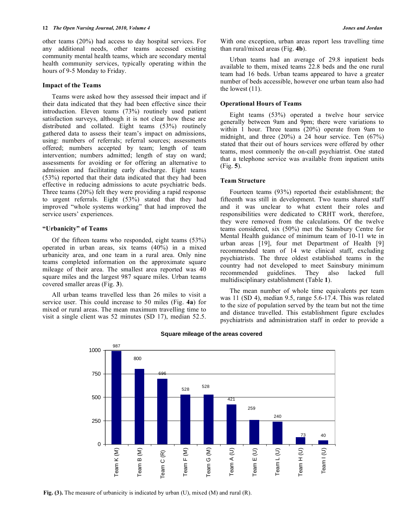other teams (20%) had access to day hospital services. For any additional needs, other teams accessed existing community mental health teams, which are secondary mental health community services, typically operating within the hours of 9-5 Monday to Friday.

#### **Impact of the Teams**

 Teams were asked how they assessed their impact and if their data indicated that they had been effective since their introduction. Eleven teams (73%) routinely used patient satisfaction surveys, although it is not clear how these are distributed and collated. Eight teams (53%) routinely gathered data to assess their team's impact on admissions, using: numbers of referrals; referral sources; assessments offered; numbers accepted by team; length of team intervention; numbers admitted; length of stay on ward; assessments for avoiding or for offering an alternative to admission and facilitating early discharge. Eight teams (53%) reported that their data indicated that they had been effective in reducing admissions to acute psychiatric beds. Three teams (20%) felt they were providing a rapid response to urgent referrals. Eight (53%) stated that they had improved "whole systems working" that had improved the service users' experiences.

#### **"Urbanicity" of Teams**

 Of the fifteen teams who responded, eight teams (53%) operated in urban areas, six teams (40%) in a mixed urbanicity area, and one team in a rural area. Only nine teams completed information on the approximate square mileage of their area. The smallest area reported was 40 square miles and the largest 987 square miles. Urban teams covered smaller areas (Fig. **3**).

 All urban teams travelled less than 26 miles to visit a service user. This could increase to 50 miles (Fig. **4a**) for mixed or rural areas. The mean maximum travelling time to visit a single client was 52 minutes (SD 17), median 52.5.

With one exception, urban areas report less travelling time than rural/mixed areas (Fig. **4b**).

 Urban teams had an average of 29.8 inpatient beds available to them, mixed teams 22.8 beds and the one rural team had 16 beds. Urban teams appeared to have a greater number of beds accessible, however one urban team also had the lowest (11).

#### **Operational Hours of Teams**

 Eight teams (53%) operated a twelve hour service generally between 9am and 9pm; there were variations to within 1 hour. Three teams (20%) operate from 9am to midnight, and three (20%) a 24 hour service. Ten (67%) stated that their out of hours services were offered by other teams, most commonly the on-call psychiatrist. One stated that a telephone service was available from inpatient units (Fig. **5**).

#### **Team Structure**

 Fourteen teams (93%) reported their establishment; the fifteenth was still in development. Two teams shared staff and it was unclear to what extent their roles and responsibilities were dedicated to CRHT work, therefore, they were removed from the calculations. Of the twelve teams considered, six (50%) met the Sainsbury Centre for Mental Health guidance of minimum team of 10-11 wte in urban areas [19], four met Department of Health [9] recommended team of 14 wte clinical staff, excluding psychiatrists. The three oldest established teams in the country had not developed to meet Sainsbury minimum recommended guidelines. They also lacked full multidisciplinary establishment (Table **1**).

 The mean number of whole time equivalents per team was 11 (SD 4), median 9.5, range 5.6-17.4. This was related to the size of population served by the team but not the time and distance travelled. This establishment figure excludes psychiatrists and administration staff in order to provide a



#### **Square mileage of the areas covered**

**Fig. (3).** The measure of urbanicity is indicated by urban (U), mixed (M) and rural (R).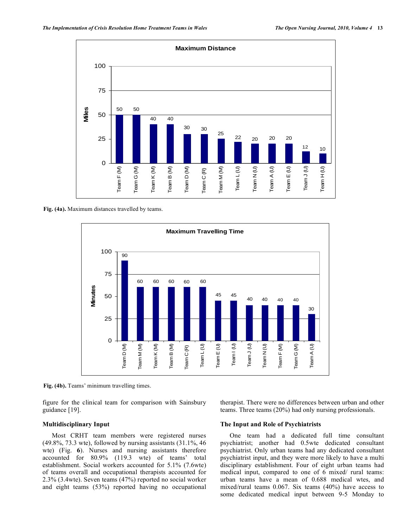

**Fig. (4a).** Maximum distances travelled by teams.



**Fig. (4b).** Teams' minimum travelling times.

figure for the clinical team for comparison with Sainsbury guidance [19].

therapist. There were no differences between urban and other teams. Three teams (20%) had only nursing professionals.

#### **Multidisciplinary Input**

 Most CRHT team members were registered nurses (49.8%, 73.3 wte), followed by nursing assistants (31.1%, 46 wte) (Fig. **6**). Nurses and nursing assistants therefore accounted for 80.9% (119.3 wte) of teams' total establishment. Social workers accounted for 5.1% (7.6wte) of teams overall and occupational therapists accounted for 2.3% (3.4wte). Seven teams (47%) reported no social worker and eight teams (53%) reported having no occupational

#### **The Input and Role of Psychiatrists**

 One team had a dedicated full time consultant psychiatrist; another had 0.5wte dedicated consultant psychiatrist. Only urban teams had any dedicated consultant psychiatrist input, and they were more likely to have a multi disciplinary establishment. Four of eight urban teams had medical input, compared to one of 6 mixed/ rural teams: urban teams have a mean of 0.688 medical wtes, and mixed/rural teams 0.067. Six teams (40%) have access to some dedicated medical input between 9-5 Monday to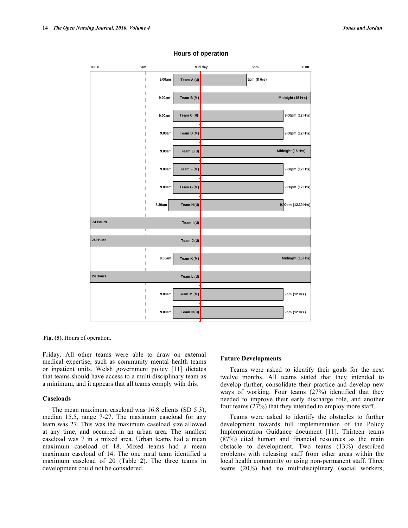

#### **Hours of operation**

**Fig. (5).** Hours of operation.

Friday. All other teams were able to draw on external medical expertise, such as community mental health teams or inpatient units. Welsh government policy [11] dictates that teams should have access to a multi disciplinary team as a minimum, and it appears that all teams comply with this.

#### **Caseloads**

 The mean maximum caseload was 16.8 clients (SD 5.3), median 15.5, range 7-27. The maximum caseload for any team was 27. This was the maximum caseload size allowed at any time, and occurred in an urban area. The smallest caseload was 7 in a mixed area. Urban teams had a mean maximum caseload of 18. Mixed teams had a mean maximum caseload of 14. The one rural team identified a maximum caseload of 20 (Table **2**). The three teams in development could not be considered.

#### **Future Developments**

 Teams were asked to identify their goals for the next twelve months. All teams stated that they intended to develop further, consolidate their practice and develop new ways of working. Four teams (27%) identified that they needed to improve their early discharge role, and another four teams (27%) that they intended to employ more staff.

 Teams were asked to identify the obstacles to further development towards full implementation of the Policy Implementation Guidance document [11]. Thirteen teams (87%) cited human and financial resources as the main obstacle to development. Two teams (13%) described problems with releasing staff from other areas within the local health community or using non-permanent staff. Three teams (20%) had no multidisciplinary (social workers,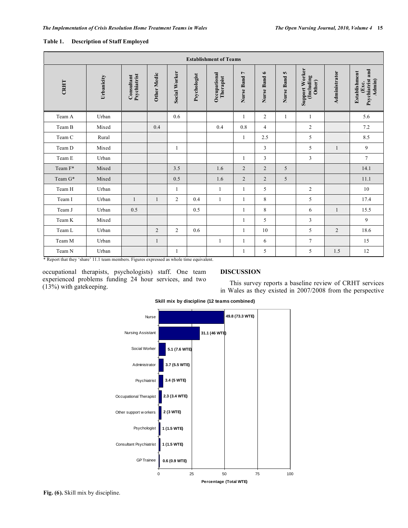| <b>Establishment of Teams</b> |            |                            |                    |                      |              |                           |                |                |                 |                                               |                |                                                         |
|-------------------------------|------------|----------------------------|--------------------|----------------------|--------------|---------------------------|----------------|----------------|-----------------|-----------------------------------------------|----------------|---------------------------------------------------------|
| CRHT                          | Urbanicity | Psychiatrist<br>Consultant | <b>Other Medic</b> | <b>Social Worker</b> | Psychologist | Occupational<br>Therapist | Nurse Band 7   | Nurse Band 6   | S<br>Nurse Band | <b>Support Worker</b><br>(Including<br>Other) | Administrator  | and<br>Establishment<br>Psychiatrist<br>Admin)<br>(Exc. |
| Team A                        | Urban      |                            |                    | 0.6                  |              |                           | $\mathbf{1}$   | $\overline{2}$ | 1               | 1                                             |                | 5.6                                                     |
| Team B                        | Mixed      |                            | 0.4                |                      |              | 0.4                       | 0.8            | $\overline{4}$ |                 | $\sqrt{2}$                                    |                | 7.2                                                     |
| Team C                        | Rural      |                            |                    |                      |              |                           | 1              | 2.5            |                 | 5                                             |                | 8.5                                                     |
| Team D                        | Mixed      |                            |                    | 1                    |              |                           |                | 3              |                 | 5                                             | 1              | 9                                                       |
| Team E                        | Urban      |                            |                    |                      |              |                           | 1              | 3              |                 | 3                                             |                | $\tau$                                                  |
| Team F*                       | Mixed      |                            |                    | $3.5$                |              | 1.6                       | $\overline{2}$ | $\overline{2}$ | 5               |                                               |                | 14.1                                                    |
| Team G*                       | Mixed      |                            |                    | 0.5                  |              | 1.6                       | $\overline{2}$ | $\overline{2}$ | 5               |                                               |                | 11.1                                                    |
| Team H                        | Urban      |                            |                    | $\mathbf{1}$         |              | 1                         | 1              | 5              |                 | $\overline{2}$                                |                | 10                                                      |
| Team I                        | Urban      | $\mathbf{1}$               | 1                  | 2                    | 0.4          | 1                         | 1              | 8              |                 | 5                                             |                | 17.4                                                    |
| Team J                        | Urban      | 0.5                        |                    |                      | 0.5          |                           | 1              | 8              |                 | 6                                             | 1              | 15.5                                                    |
| Team K                        | Mixed      |                            |                    |                      |              |                           | 1              | 5              |                 | $\mathfrak{Z}$                                |                | 9                                                       |
| Team L                        | Urban      |                            | $\overline{2}$     | 2                    | 0.6          |                           | $\mathbf{1}$   | 10             |                 | 5                                             | $\overline{2}$ | 18.6                                                    |
| Team M                        | Urban      |                            | $\mathbf{1}$       |                      |              | 1                         | 1              | 6              |                 | $\overline{7}$                                |                | 15                                                      |
| Team N                        | Urban      |                            |                    | $\mathbf{1}$         |              |                           | $\mathbf{1}$   | 5              |                 | 5                                             | 1.5            | 12                                                      |

# **Table 1. Description of Staff Employed**

\* Report that they 'share' 11.1 team members. Figures expressed as whole time equivalent.

occupational therapists, psychologists) staff. One team experienced problems funding 24 hour services, and two (13%) with gatekeeping.

# **DISCUSSION**

 This survey reports a baseline review of CRHT services in Wales as they existed in 2007/2008 from the perspective



# **Skill mix by discipline (12 teams combined)**

**Fig. (6).** Skill mix by discipline.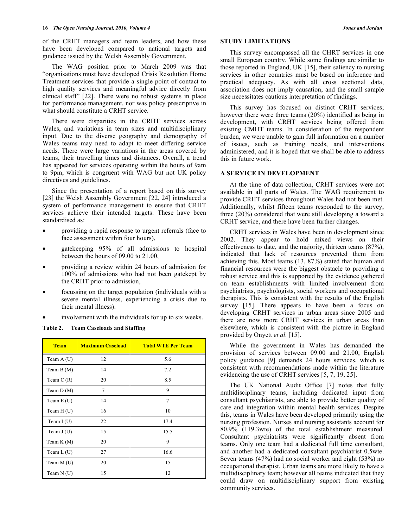of the CRHT managers and team leaders, and how these have been developed compared to national targets and guidance issued by the Welsh Assembly Government.

 The WAG position prior to March 2009 was that "organisations must have developed Crisis Resolution Home Treatment services that provide a single point of contact to high quality services and meaningful advice directly from clinical staff" [22]. There were no robust systems in place for performance management, nor was policy prescriptive in what should constitute a CRHT service.

 There were disparities in the CRHT services across Wales, and variations in team sizes and multidisciplinary input. Due to the diverse geography and demography of Wales teams may need to adapt to meet differing service needs. There were large variations in the areas covered by teams, their travelling times and distances. Overall, a trend has appeared for services operating within the hours of 9am to 9pm, which is congruent with WAG but not UK policy directives and guidelines.

 Since the presentation of a report based on this survey [23] the Welsh Assembly Government [22, 24] introduced a system of performance management to ensure that CRHT services achieve their intended targets. These have been standardised as:

- providing a rapid response to urgent referrals (face to face assessment within four hours),
- gatekeeping 95% of all admissions to hospital between the hours of 09.00 to 21.00,
- providing a review within 24 hours of admission for 100% of admissions who had not been gatekept by the CRHT prior to admission,
- focussing on the target population (individuals with a severe mental illness, experiencing a crisis due to their mental illness).
- involvement with the individuals for up to six weeks.

**Table 2. Team Caseloads and Staffing** 

| <b>Team</b> | <b>Maximum Caseload</b> | <b>Total WTE Per Team</b> |
|-------------|-------------------------|---------------------------|
| Team $A(U)$ | 12                      | 5.6                       |
| Team $B(M)$ | 14                      | 7.2                       |
| Team $C(R)$ | 20                      | 8.5                       |
| Team $D(M)$ | 7                       | 9                         |
| Team $E(U)$ | 14                      | $\overline{7}$            |
| Team H (U)  | 16                      | 10                        |
| Team $I(U)$ | 22                      | 17.4                      |
| Team $J(U)$ | 15                      | 15.5                      |
| Team $K(M)$ | 20                      | 9                         |
| Team $L(U)$ | 27                      | 16.6                      |
| Team M (U)  | 20                      | 15                        |
| Team $N(U)$ | 15                      | 12                        |

# **STUDY LIMITATIONS**

 This survey encompassed all the CHRT services in one small European country. While some findings are similar to those reported in England, UK [15], their saliency to nursing services in other countries must be based on inference and practical adequacy. As with all cross sectional data, association does not imply causation, and the small sample size necessitates cautious interpretation of findings.

 This survey has focused on distinct CRHT services; however there were three teams (20%) identified as being in development, with CRHT services being offered from existing CMHT teams. In consideration of the respondent burden, we were unable to gain full information on a number of issues, such as training needs, and interventions administered, and it is hoped that we shall be able to address this in future work.

# **A SERVICE IN DEVELOPMENT**

 At the time of data collection, CRHT services were not available in all parts of Wales. The WAG requirement to provide CRHT services throughout Wales had not been met. Additionally, whilst fifteen teams responded to the survey, three (20%) considered that were still developing a toward a CRHT service, and there have been further changes.

 CRHT services in Wales have been in development since 2002. They appear to hold mixed views on their effectiveness to date, and the majority, thirteen teams (87%), indicated that lack of resources prevented them from achieving this. Most teams (13, 87%) stated that human and financial resources were the biggest obstacle to providing a robust service and this is supported by the evidence gathered on team establishments with limited involvement from psychiatrists, psychologists, social workers and occupational therapists. This is consistent with the results of the English survey [15]. There appears to have been a focus on developing CRHT services in urban areas since 2005 and there are now more CRHT services in urban areas than elsewhere, which is consistent with the picture in England provided by Onyett *et al.* [15].

 While the government in Wales has demanded the provision of services between 09.00 and 21.00, English policy guidance [9] demands 24 hours services, which is consistent with recommendations made within the literature evidencing the use of CRHT services [5, 7, 19, 25].

 The UK National Audit Office [7] notes that fully multidisciplinary teams, including dedicated input from consultant psychiatrists, are able to provide better quality of care and integration within mental health services. Despite this, teams in Wales have been developed primarily using the nursing profession. Nurses and nursing assistants account for 80.9% (119.3wte) of the total establishment measured. Consultant psychiatrists were significantly absent from teams. Only one team had a dedicated full time consultant, and another had a dedicated consultant psychiatrist 0.5wte. Seven teams (47%) had no social worker and eight (53%) no occupational therapist. Urban teams are more likely to have a multidisciplinary team; however all teams indicated that they could draw on multidisciplinary support from existing community services.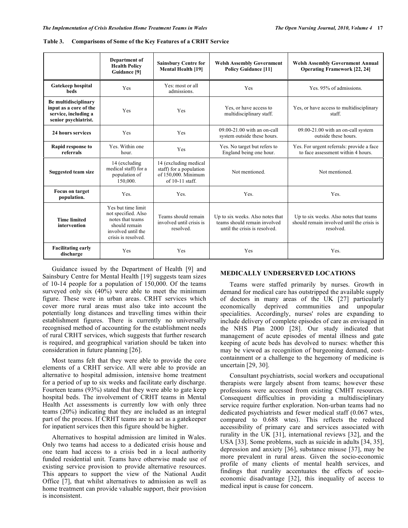|                                                                                                                                                                    | Department of<br><b>Health Policy</b><br>Guidance [9]               | <b>Sainsbury Centre for</b><br><b>Mental Health [19]</b>     | <b>Welsh Assembly Government</b><br><b>Policy Guidance [11]</b>                                   | <b>Welsh Assembly Government Annual</b><br><b>Operating Framework [22, 24]</b>                    |  |
|--------------------------------------------------------------------------------------------------------------------------------------------------------------------|---------------------------------------------------------------------|--------------------------------------------------------------|---------------------------------------------------------------------------------------------------|---------------------------------------------------------------------------------------------------|--|
| Gatekeep hospital<br>beds                                                                                                                                          | Yes                                                                 | Yes: most or all<br>admissions.                              | Yes                                                                                               | Yes. 95% of admissions.                                                                           |  |
| Be multidisciplinary<br>input as a core of the<br>service, including a<br>senior psychiatrist.                                                                     | Yes                                                                 | Yes                                                          | Yes, or have access to<br>multidisciplinary staff.                                                | Yes, or have access to multidisciplinary<br>staff.                                                |  |
| 24 hours services                                                                                                                                                  | Yes                                                                 | Yes                                                          | $09.00 - 21.00$ with an on-call<br>system outside these hours.                                    | 09.00-21.00 with an on-call system<br>outside these hours.                                        |  |
| Rapid response to<br>referrals                                                                                                                                     | Yes. Within one<br>hour.                                            | Yes                                                          | Yes. No target but refers to<br>England being one hour.                                           | Yes. For urgent referrals: provide a face<br>to face assessment within 4 hours.                   |  |
| <b>Suggested team size</b>                                                                                                                                         | 14 (excluding)<br>medical staff) for a<br>population of<br>150,000. |                                                              | Not mentioned.                                                                                    | Not mentioned.                                                                                    |  |
| <b>Focus on target</b><br>population.                                                                                                                              | Yes.                                                                | Yes.                                                         | Yes.                                                                                              | Yes.                                                                                              |  |
| Yes but time limit<br>not specified. Also<br>notes that teams<br><b>Time limited</b><br>should remain<br>intervention<br>involved until the<br>crisis is resolved. |                                                                     | Teams should remain<br>involved until crisis is<br>resolved. | Up to six weeks. Also notes that<br>teams should remain involved<br>until the crisis is resolved. | Up to six weeks. Also notes that teams<br>should remain involved until the crisis is<br>resolved. |  |
| <b>Facilitating early</b><br>discharge                                                                                                                             | Yes                                                                 | Yes                                                          | Yes                                                                                               | Yes.                                                                                              |  |

 Guidance issued by the Department of Health [9] and Sainsbury Centre for Mental Health [19] suggests team sizes of 10-14 people for a population of 150,000. Of the teams surveyed only six (40%) were able to meet the minimum figure. These were in urban areas. CRHT services which cover more rural areas must also take into account the potentially long distances and travelling times within their establishment figures. There is currently no universally recognised method of accounting for the establishment needs of rural CRHT services, which suggests that further research is required, and geographical variation should be taken into consideration in future planning [26].

 Most teams felt that they were able to provide the core elements of a CRHT service. All were able to provide an alternative to hospital admission, intensive home treatment for a period of up to six weeks and facilitate early discharge. Fourteen teams (93%) stated that they were able to gate keep hospital beds. The involvement of CRHT teams in Mental Health Act assessments is currently low with only three teams (20%) indicating that they are included as an integral part of the process. If CRHT teams are to act as a gatekeeper for inpatient services then this figure should be higher.

 Alternatives to hospital admission are limited in Wales. Only two teams had access to a dedicated crisis house and one team had access to a crisis bed in a local authority funded residential unit. Teams have otherwise made use of existing service provision to provide alternative resources. This appears to support the view of the National Audit Office [7], that whilst alternatives to admission as well as home treatment can provide valuable support, their provision is inconsistent.

# **MEDICALLY UNDERSERVED LOCATIONS**

 Teams were staffed primarily by nurses. Growth in demand for medical care has outstripped the available supply of doctors in many areas of the UK [27] particularly economically deprived communities and unpopular specialities. Accordingly, nurses' roles are expanding to include delivery of complete episodes of care as envisaged in the NHS Plan 2000 [28]. Our study indicated that management of acute episodes of mental illness and gate keeping of acute beds has devolved to nurses: whether this may be viewed as recognition of burgeoning demand, costcontainment or a challenge to the hegemony of medicine is uncertain [29, 30].

 Consultant psychiatrists, social workers and occupational therapists were largely absent from teams; however these professions were accessed from existing CMHT resources. Consequent difficulties in providing a multidisciplinary service require further exploration. Non-urban teams had no dedicated psychiatrists and fewer medical staff (0.067 wtes, compared to 0.688 wtes). This reflects the reduced accessibility of primary care and services associated with rurality in the UK [31], international reviews [32], and the USA [33]. Some problems, such as suicide in adults [34, 35], depression and anxiety [36], substance misuse [37], may be more prevalent in rural areas. Given the socio-economic profile of many clients of mental health services, and findings that rurality accentuates the effects of socioeconomic disadvantage [32], this inequality of access to medical input is cause for concern.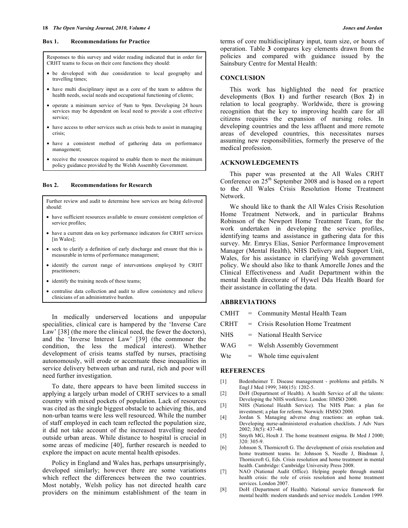#### **Box 1. Recommendations for Practice**

Responses to this survey and wider reading indicated that in order for CRHT teams to focus on their core functions they should:

- be developed with due consideration to local geography and travelling times;
- have multi disciplinary input as a core of the team to address the health needs, social needs and occupational functioning of clients;
- operate a minimum service of 9am to 9pm. Developing 24 hours services may be dependent on local need to provide a cost effective service;
- have access to other services such as crisis beds to assist in managing crisis;
- have a consistent method of gathering data on performance management;
- receive the resources required to enable them to meet the minimum policy guidance provided by the Welsh Assembly Government.

#### **Box 2. Recommendations for Research**

Further review and audit to determine how services are being delivered should:

- have sufficient resources available to ensure consistent completion of service profiles;
- have a current data on key performance indicators for CRHT services [in Wales];
- seek to clarify a definition of early discharge and ensure that this is measurable in terms of performance management;
- identify the current range of interventions employed by CRHT practitioners;
- identify the training needs of these teams;
- centralise data collection and audit to allow consistency and relieve clinicians of an administrative burden.

 In medically underserved locations and unpopular specialities, clinical care is hampered by the 'Inverse Care Law' [38] (the more the clinical need, the fewer the doctors), and the 'Inverse Interest Law' [39] (the commoner the condition, the less the medical interest). Whether development of crisis teams staffed by nurses, practising autonomously, will erode or accentuate these inequalities in service delivery between urban and rural, rich and poor will need further investigation.

 To date, there appears to have been limited success in applying a largely urban model of CRHT services to a small country with mixed pockets of population. Lack of resources was cited as the single biggest obstacle to achieving this, and non-urban teams were less well resourced. While the number of staff employed in each team reflected the population size, it did not take account of the increased travelling needed outside urban areas. While distance to hospital is crucial in some areas of medicine [40], further research is needed to explore the impact on acute mental health episodes.

 Policy in England and Wales has, perhaps unsurprisingly, developed similarly; however there are some variations which reflect the differences between the two countries. Most notably, Welsh policy has not directed health care providers on the minimum establishment of the team in

terms of core multidisciplinary input, team size, or hours of operation. Table **3** compares key elements drawn from the policies and compared with guidance issued by the Sainsbury Centre for Mental Health:

# **CONCLUSION**

 This work has highlighted the need for practice developments (Box **1**) and further research (Box **2**) in relation to local geography. Worldwide, there is growing recognition that the key to improving health care for all citizens requires the expansion of nursing roles. In developing countries and the less affluent and more remote areas of developed countries, this necessitates nurses assuming new responsibilities, formerly the preserve of the medical profession.

#### **ACKNOWLEDGEMENTS**

 This paper was presented at the All Wales CRHT Conference on 25th September 2008 and is based on a report to the All Wales Crisis Resolution Home Treatment Network.

 We should like to thank the All Wales Crisis Resolution Home Treatment Network, and in particular Brahms Robinson of the Newport Home Treatment Team, for the work undertaken in developing the service profiles, identifying teams and assistance in gathering data for this survey. Mr. Emrys Elias, Senior Performance Improvement Manager (Mental Health), NHS Delivery and Support Unit, Wales, for his assistance in clarifying Welsh government policy. We should also like to thank Amorelle Jones and the Clinical Effectiveness and Audit Department within the mental health directorate of Hywel Dda Health Board for their assistance in collating the data.

# **ABBREVIATIONS**

- CMHT = Community Mental Health Team
- CRHT = Crisis Resolution Home Treatment
- NHS = National Health Service
- WAG = Welsh Assembly Government
- $Wte$  = Whole time equivalent

#### **REFERENCES**

- [1] Bodenheimer T. Disease management problems and pitfalls. N Engl J Med 1999; 340(15): 1202-5.
- [2] DoH (Department of Health). A health Service of all the talents: Developing the NHS workforce. London: HMSO 2000.
- [3] NHS (National Health Service). The NHS Plan: a plan for investment; a plan for reform. Norwich: HMSO 2000.
- [4] Jordan S. Managing adverse drug reactions: an orphan task. Developing nurse-administered evaluation checklists. J Adv Nurs 2002; 38(5): 437-48.
- [5] Smyth MG, Hoult J. The home treatment enigma. Br Med J 2000; 320: 305-9.
- [6] Johnson S, Thornicroft G. The development of crisis resolution and home treatment teams. In: Johnson S, Needle J, Bindman J, Thornicroft G, Eds. Crisis resolution and home treatment in mental health. Cambridge: Cambridge University Press 2008.
- [7] NAO (National Audit Office). Helping people through mental health crisis: the role of crisis resolution and home treatment services. London 2007.
- [8] DoH (Department of Health). National service framework for mental health: modern standards and service models. London 1999.